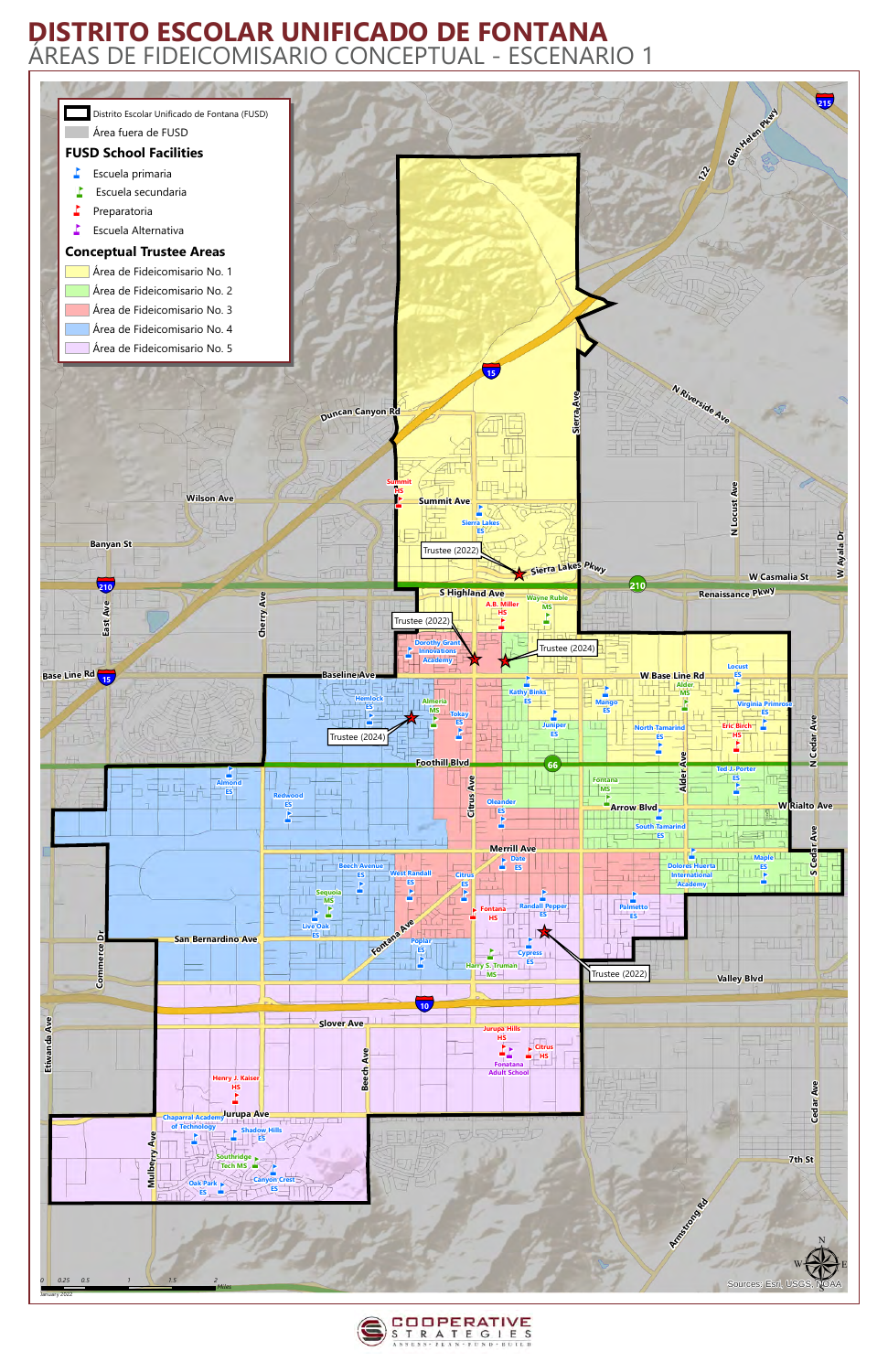



## **DISTRITO ESCOLAR UNIFICADO DE FONTANA** ÁREAS DE FIDEICOMISARIO CONCEPTUAL - ESCENARIO 1